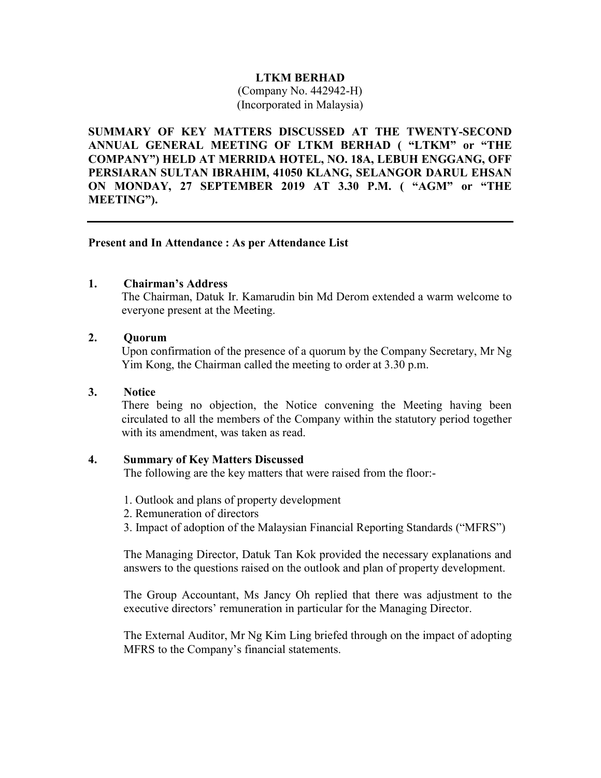## LTKM BERHAD

(Company No. 442942-H) (Incorporated in Malaysia)

SUMMARY OF KEY MATTERS DISCUSSED AT THE TWENTY-SECOND ANNUAL GENERAL MEETING OF LTKM BERHAD ( "LTKM" or "THE COMPANY") HELD AT MERRIDA HOTEL, NO. 18A, LEBUH ENGGANG, OFF PERSIARAN SULTAN IBRAHIM, 41050 KLANG, SELANGOR DARUL EHSAN ON MONDAY, 27 SEPTEMBER 2019 AT 3.30 P.M. ( "AGM" or "THE MEETING").

## Present and In Attendance : As per Attendance List

## 1. Chairman's Address

The Chairman, Datuk Ir. Kamarudin bin Md Derom extended a warm welcome to everyone present at the Meeting.

## 2. Quorum

Upon confirmation of the presence of a quorum by the Company Secretary, Mr Ng Yim Kong, the Chairman called the meeting to order at 3.30 p.m.

#### 3. Notice

There being no objection, the Notice convening the Meeting having been circulated to all the members of the Company within the statutory period together with its amendment, was taken as read.

## 4. Summary of Key Matters Discussed

The following are the key matters that were raised from the floor:-

- 1. Outlook and plans of property development
- 2. Remuneration of directors
- 3. Impact of adoption of the Malaysian Financial Reporting Standards ("MFRS")

The Managing Director, Datuk Tan Kok provided the necessary explanations and answers to the questions raised on the outlook and plan of property development.

The Group Accountant, Ms Jancy Oh replied that there was adjustment to the executive directors' remuneration in particular for the Managing Director.

The External Auditor, Mr Ng Kim Ling briefed through on the impact of adopting MFRS to the Company's financial statements.